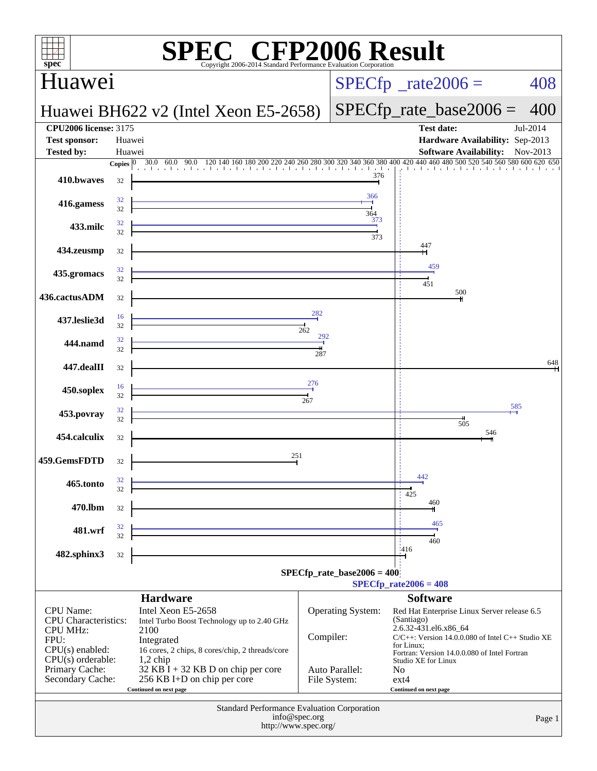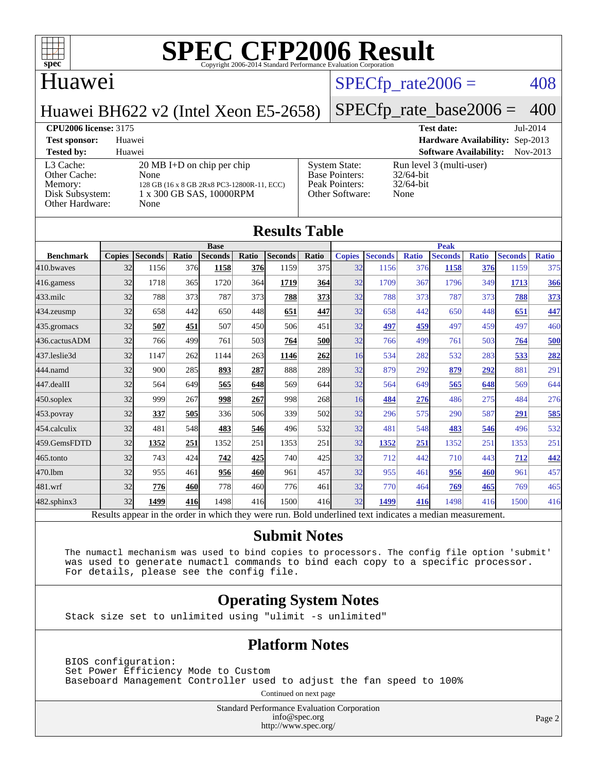

### Huawei

#### $SPECTp\_rate2006 = 408$

Huawei BH622 v2 (Intel Xeon E5-2658)

## [SPECfp\\_rate\\_base2006 =](http://www.spec.org/auto/cpu2006/Docs/result-fields.html#SPECfpratebase2006) 400

**[CPU2006 license:](http://www.spec.org/auto/cpu2006/Docs/result-fields.html#CPU2006license)** 3175 **[Test date:](http://www.spec.org/auto/cpu2006/Docs/result-fields.html#Testdate)** Jul-2014 **[Test sponsor:](http://www.spec.org/auto/cpu2006/Docs/result-fields.html#Testsponsor)** Huawei **[Hardware Availability:](http://www.spec.org/auto/cpu2006/Docs/result-fields.html#HardwareAvailability)** Sep-2013 **[Tested by:](http://www.spec.org/auto/cpu2006/Docs/result-fields.html#Testedby)** Huawei **[Software Availability:](http://www.spec.org/auto/cpu2006/Docs/result-fields.html#SoftwareAvailability)** Nov-2013 [L3 Cache:](http://www.spec.org/auto/cpu2006/Docs/result-fields.html#L3Cache) 20 MB I+D on chip per chip<br>Other Cache: None [Other Cache:](http://www.spec.org/auto/cpu2006/Docs/result-fields.html#OtherCache) [Memory:](http://www.spec.org/auto/cpu2006/Docs/result-fields.html#Memory) 128 GB (16 x 8 GB 2Rx8 PC3-12800R-11, ECC) [Disk Subsystem:](http://www.spec.org/auto/cpu2006/Docs/result-fields.html#DiskSubsystem) 1 x 300 GB SAS, 10000RPM [Other Hardware:](http://www.spec.org/auto/cpu2006/Docs/result-fields.html#OtherHardware) None [System State:](http://www.spec.org/auto/cpu2006/Docs/result-fields.html#SystemState) Run level 3 (multi-user)<br>Base Pointers: 32/64-bit [Base Pointers:](http://www.spec.org/auto/cpu2006/Docs/result-fields.html#BasePointers) [Peak Pointers:](http://www.spec.org/auto/cpu2006/Docs/result-fields.html#PeakPointers) 32/64-bit [Other Software:](http://www.spec.org/auto/cpu2006/Docs/result-fields.html#OtherSoftware) None

|                  | <b>Results Table</b><br><b>Base</b> |                |       |                |       |                | <b>Peak</b> |               |                |              |                |              |                |              |
|------------------|-------------------------------------|----------------|-------|----------------|-------|----------------|-------------|---------------|----------------|--------------|----------------|--------------|----------------|--------------|
| <b>Benchmark</b> | <b>Copies</b>                       | <b>Seconds</b> | Ratio | <b>Seconds</b> | Ratio | <b>Seconds</b> | Ratio       | <b>Copies</b> | <b>Seconds</b> | <b>Ratio</b> | <b>Seconds</b> | <b>Ratio</b> | <b>Seconds</b> | <b>Ratio</b> |
| 410.bwayes       | 32                                  | 1156           | 376   | 1158           | 376   | 1159           | 375         | 32            | 1156           | 376          | 1158           | 376          | 1159           | 375          |
| 416.gamess       | 32                                  | 1718           | 365   | 1720           | 364   | 1719           | <b>364</b>  | 32            | 1709           | 367          | 1796           | 349          | 1713           | 366          |
| $433$ .milc      | 32                                  | 788            | 373   | 787            | 373   | 788            | <u>373</u>  | 32            | 788            | 373          | 787            | 373          | 788            | 373          |
| 434.zeusmp       | 32                                  | 658            | 442   | 650            | 448   | 651            | 447         | 32            | 658            | 442          | 650            | 448          | 651            | 447          |
| 435.gromacs      | 32                                  | 507            | 451   | 507            | 450   | 506            | 451         | 32            | 497            | 459          | 497            | 459          | 497            | 460          |
| 436.cactusADM    | 32                                  | 766            | 499   | 761            | 503   | 764            | <b>500</b>  | 32            | 766            | 499          | 761            | 503          | 764            | 500          |
| 437.leslie3d     | 32                                  | 1147           | 262   | 1144           | 263   | 1146           | 262         | 16            | 534            | 282          | 532            | 283          | 533            | <u>282</u>   |
| 444.namd         | 32                                  | 900            | 285   | 893            | 287   | 888            | <b>289</b>  | 32            | 879            | 292          | 879            | 292          | 881            | 291          |
| 447.dealII       | 32                                  | 564            | 649   | 565            | 648   | 569            | 644         | 32            | 564            | 649          | 565            | 648          | 569            | 644          |
| $450$ .soplex    | 32                                  | 999            | 267   | 998            | 267   | 998            | 268         | 16            | 484            | 276          | 486            | 275          | 484            | 276          |
| 453.povray       | 32                                  | 337            | 505   | 336            | 506   | 339            | 502         | 32            | 296            | 575          | 290            | 587          | 291            | 585          |
| 454.calculix     | 32                                  | 481            | 548   | 483            | 546   | 496            | 532l        | 32            | 481            | 548          | 483            | 546          | 496            | 532          |
| 459.GemsFDTD     | 32                                  | 1352           | 251   | 1352           | 251   | 1353           | 251         | 32            | 1352           | 251          | 1352           | 251          | 1353           | 251          |
| 465.tonto        | 32                                  | 743            | 424   | 742            | 425   | 740            | 425         | 32            | 712            | 442          | 710            | 443          | 712            | 442          |
| 470.1bm          | 32                                  | 955            | 461   | 956            | 460   | 961            | 457         | 32            | 955            | 461          | 956            | 460          | 961            | 457          |
| 481.wrf          | 32                                  | 776            | 460   | 778            | 460   | 776            | 461         | 32            | 770            | 464          | 769            | 465          | 769            | 465          |
| 482.sphinx3      | 32                                  | 1499           | 416   | 1498           | 416   | 1500           | 416         | 32            | 1499           | 416          | 1498           | 416          | 1500           | 416          |

#### **[Submit Notes](http://www.spec.org/auto/cpu2006/Docs/result-fields.html#SubmitNotes)**

 The numactl mechanism was used to bind copies to processors. The config file option 'submit' was used to generate numactl commands to bind each copy to a specific processor. For details, please see the config file.

#### **[Operating System Notes](http://www.spec.org/auto/cpu2006/Docs/result-fields.html#OperatingSystemNotes)**

Stack size set to unlimited using "ulimit -s unlimited"

#### **[Platform Notes](http://www.spec.org/auto/cpu2006/Docs/result-fields.html#PlatformNotes)**

 BIOS configuration: Set Power Efficiency Mode to Custom Baseboard Management Controller used to adjust the fan speed to 100%

Continued on next page

Standard Performance Evaluation Corporation [info@spec.org](mailto:info@spec.org) <http://www.spec.org/>

Page 2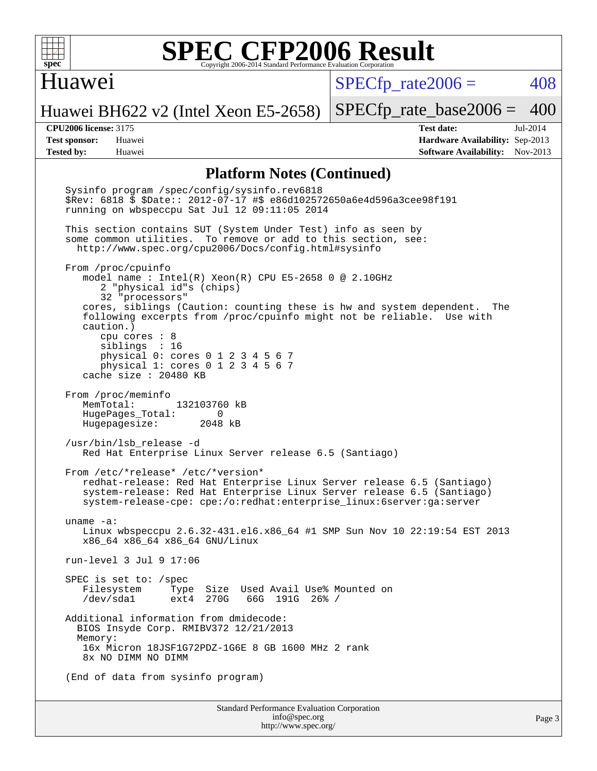

#### Huawei

 $SPECTp\_rate2006 = 408$ 

Huawei BH622 v2 (Intel Xeon E5-2658)

[SPECfp\\_rate\\_base2006 =](http://www.spec.org/auto/cpu2006/Docs/result-fields.html#SPECfpratebase2006) 400

**[CPU2006 license:](http://www.spec.org/auto/cpu2006/Docs/result-fields.html#CPU2006license)** 3175 **[Test date:](http://www.spec.org/auto/cpu2006/Docs/result-fields.html#Testdate)** Jul-2014 **[Test sponsor:](http://www.spec.org/auto/cpu2006/Docs/result-fields.html#Testsponsor)** Huawei **[Hardware Availability:](http://www.spec.org/auto/cpu2006/Docs/result-fields.html#HardwareAvailability)** Sep-2013 **[Tested by:](http://www.spec.org/auto/cpu2006/Docs/result-fields.html#Testedby)** Huawei **[Software Availability:](http://www.spec.org/auto/cpu2006/Docs/result-fields.html#SoftwareAvailability)** Nov-2013

#### **[Platform Notes \(Continued\)](http://www.spec.org/auto/cpu2006/Docs/result-fields.html#PlatformNotes)**

Standard Performance Evaluation Corporation [info@spec.org](mailto:info@spec.org) Sysinfo program /spec/config/sysinfo.rev6818 \$Rev: 6818 \$ \$Date:: 2012-07-17 #\$ e86d102572650a6e4d596a3cee98f191 running on wbspeccpu Sat Jul 12 09:11:05 2014 This section contains SUT (System Under Test) info as seen by some common utilities. To remove or add to this section, see: <http://www.spec.org/cpu2006/Docs/config.html#sysinfo> From /proc/cpuinfo model name : Intel(R) Xeon(R) CPU E5-2658 0 @ 2.10GHz 2 "physical id"s (chips) 32 "processors" cores, siblings (Caution: counting these is hw and system dependent. The following excerpts from /proc/cpuinfo might not be reliable. Use with caution.) cpu cores : 8 siblings : 16 physical 0: cores 0 1 2 3 4 5 6 7 physical 1: cores 0 1 2 3 4 5 6 7 cache size : 20480 KB From /proc/meminfo MemTotal: 132103760 kB HugePages\_Total: 0<br>Hugepagesize: 2048 kB Hugepagesize: /usr/bin/lsb\_release -d Red Hat Enterprise Linux Server release 6.5 (Santiago) From /etc/\*release\* /etc/\*version\* redhat-release: Red Hat Enterprise Linux Server release 6.5 (Santiago) system-release: Red Hat Enterprise Linux Server release 6.5 (Santiago) system-release-cpe: cpe:/o:redhat:enterprise\_linux:6server:ga:server uname -a: Linux wbspeccpu 2.6.32-431.el6.x86\_64 #1 SMP Sun Nov 10 22:19:54 EST 2013 x86\_64 x86\_64 x86\_64 GNU/Linux run-level 3 Jul 9 17:06 SPEC is set to: /spec Filesystem Type Size Used-Avail-Use%-Mounted-on-<br>  $\sqrt{\text{dev}}$ /sdal ext4 270G 66G 191G 26%-/ ext4 270G 66G 191G 26% / Additional information from dmidecode: BIOS Insyde Corp. RMIBV372 12/21/2013 Memory: 16x Micron 18JSF1G72PDZ-1G6E 8 GB 1600 MHz 2 rank 8x NO DIMM NO DIMM (End of data from sysinfo program)

<http://www.spec.org/>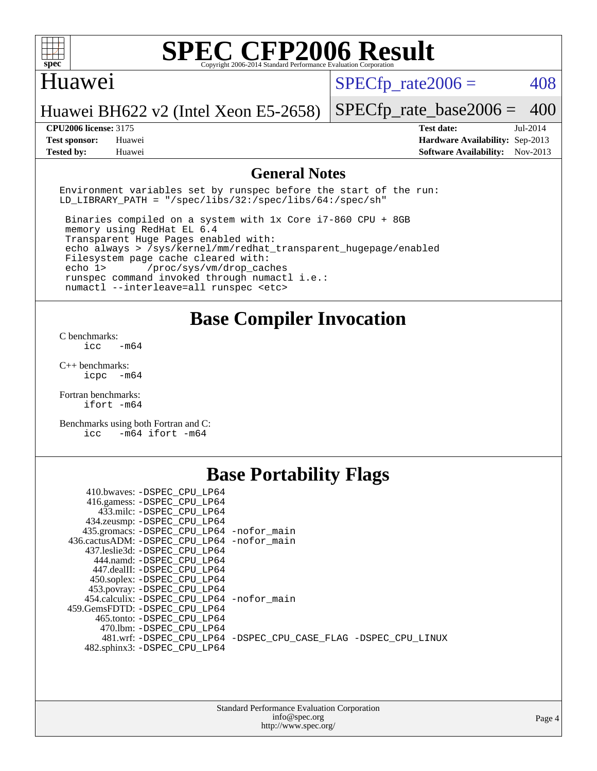

#### Huawei

 $SPECTp\_rate2006 = 408$ 

#### Huawei BH622 v2 (Intel Xeon E5-2658)

**[Tested by:](http://www.spec.org/auto/cpu2006/Docs/result-fields.html#Testedby)** Huawei **[Software Availability:](http://www.spec.org/auto/cpu2006/Docs/result-fields.html#SoftwareAvailability)** Nov-2013

[SPECfp\\_rate\\_base2006 =](http://www.spec.org/auto/cpu2006/Docs/result-fields.html#SPECfpratebase2006) 400 **[CPU2006 license:](http://www.spec.org/auto/cpu2006/Docs/result-fields.html#CPU2006license)** 3175 **[Test date:](http://www.spec.org/auto/cpu2006/Docs/result-fields.html#Testdate)** Jul-2014 **[Test sponsor:](http://www.spec.org/auto/cpu2006/Docs/result-fields.html#Testsponsor)** Huawei **[Hardware Availability:](http://www.spec.org/auto/cpu2006/Docs/result-fields.html#HardwareAvailability)** Sep-2013

#### **[General Notes](http://www.spec.org/auto/cpu2006/Docs/result-fields.html#GeneralNotes)**

Environment variables set by runspec before the start of the run: LD LIBRARY PATH = "/spec/libs/32:/spec/libs/64:/spec/sh"

 Binaries compiled on a system with 1x Core i7-860 CPU + 8GB memory using RedHat EL 6.4 Transparent Huge Pages enabled with: echo always > /sys/kernel/mm/redhat\_transparent\_hugepage/enabled Filesystem page cache cleared with: echo 1> /proc/sys/vm/drop\_caches runspec command invoked through numactl i.e.: numactl --interleave=all runspec <etc>

### **[Base Compiler Invocation](http://www.spec.org/auto/cpu2006/Docs/result-fields.html#BaseCompilerInvocation)**

[C benchmarks](http://www.spec.org/auto/cpu2006/Docs/result-fields.html#Cbenchmarks):  $\text{icc}$   $-\text{m64}$ 

[C++ benchmarks:](http://www.spec.org/auto/cpu2006/Docs/result-fields.html#CXXbenchmarks) [icpc -m64](http://www.spec.org/cpu2006/results/res2014q3/cpu2006-20140714-30393.flags.html#user_CXXbase_intel_icpc_64bit_bedb90c1146cab66620883ef4f41a67e)

[Fortran benchmarks](http://www.spec.org/auto/cpu2006/Docs/result-fields.html#Fortranbenchmarks): [ifort -m64](http://www.spec.org/cpu2006/results/res2014q3/cpu2006-20140714-30393.flags.html#user_FCbase_intel_ifort_64bit_ee9d0fb25645d0210d97eb0527dcc06e)

[Benchmarks using both Fortran and C](http://www.spec.org/auto/cpu2006/Docs/result-fields.html#BenchmarksusingbothFortranandC): [icc -m64](http://www.spec.org/cpu2006/results/res2014q3/cpu2006-20140714-30393.flags.html#user_CC_FCbase_intel_icc_64bit_0b7121f5ab7cfabee23d88897260401c) [ifort -m64](http://www.spec.org/cpu2006/results/res2014q3/cpu2006-20140714-30393.flags.html#user_CC_FCbase_intel_ifort_64bit_ee9d0fb25645d0210d97eb0527dcc06e)

## **[Base Portability Flags](http://www.spec.org/auto/cpu2006/Docs/result-fields.html#BasePortabilityFlags)**

| 410.bwaves: -DSPEC CPU LP64                 |                                                                |
|---------------------------------------------|----------------------------------------------------------------|
| 416.gamess: -DSPEC_CPU_LP64                 |                                                                |
| 433.milc: -DSPEC CPU LP64                   |                                                                |
| 434.zeusmp: - DSPEC_CPU_LP64                |                                                                |
| 435.gromacs: -DSPEC_CPU_LP64 -nofor_main    |                                                                |
| 436.cactusADM: -DSPEC CPU LP64 -nofor main  |                                                                |
| 437.leslie3d: -DSPEC CPU LP64               |                                                                |
| 444.namd: -DSPEC CPU LP64                   |                                                                |
| 447.dealII: -DSPEC CPU LP64                 |                                                                |
| 450.soplex: - DSPEC CPU LP64                |                                                                |
| 453.povray: -DSPEC_CPU_LP64                 |                                                                |
| 454.calculix: - DSPEC CPU LP64 - nofor main |                                                                |
| 459. GemsFDTD: - DSPEC CPU LP64             |                                                                |
| 465.tonto: - DSPEC CPU LP64                 |                                                                |
| 470.1bm: - DSPEC CPU LP64                   |                                                                |
|                                             | 481.wrf: -DSPEC CPU_LP64 -DSPEC_CPU_CASE_FLAG -DSPEC_CPU_LINUX |
| 482.sphinx3: -DSPEC_CPU_LP64                |                                                                |
|                                             |                                                                |

| <b>Standard Performance Evaluation Corporation</b> |
|----------------------------------------------------|
| info@spec.org                                      |
| http://www.spec.org/                               |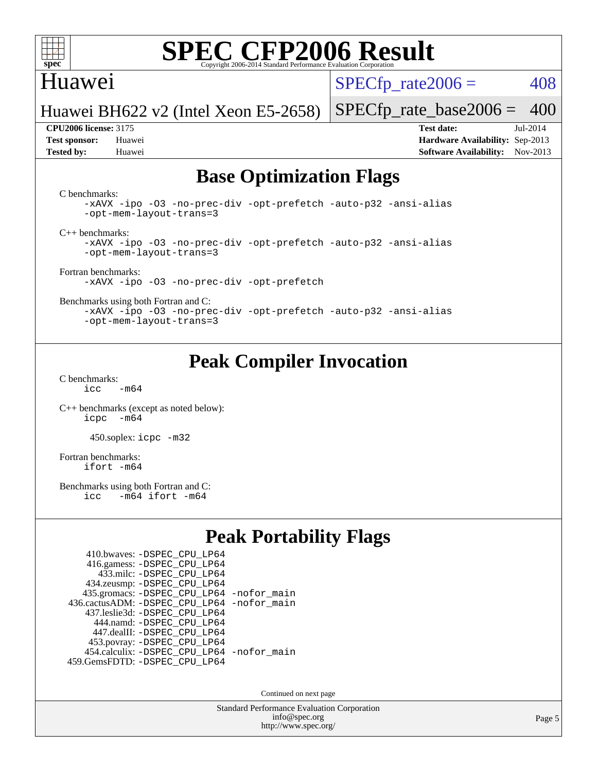

### Huawei

 $SPECTp\_rate2006 = 408$ 

Huawei BH622 v2 (Intel Xeon E5-2658)

**[Test sponsor:](http://www.spec.org/auto/cpu2006/Docs/result-fields.html#Testsponsor)** Huawei **[Hardware Availability:](http://www.spec.org/auto/cpu2006/Docs/result-fields.html#HardwareAvailability)** Sep-2013 **[Tested by:](http://www.spec.org/auto/cpu2006/Docs/result-fields.html#Testedby)** Huawei **[Software Availability:](http://www.spec.org/auto/cpu2006/Docs/result-fields.html#SoftwareAvailability)** Nov-2013

[SPECfp\\_rate\\_base2006 =](http://www.spec.org/auto/cpu2006/Docs/result-fields.html#SPECfpratebase2006) 400 **[CPU2006 license:](http://www.spec.org/auto/cpu2006/Docs/result-fields.html#CPU2006license)** 3175 **[Test date:](http://www.spec.org/auto/cpu2006/Docs/result-fields.html#Testdate)** Jul-2014

## **[Base Optimization Flags](http://www.spec.org/auto/cpu2006/Docs/result-fields.html#BaseOptimizationFlags)**

[C benchmarks](http://www.spec.org/auto/cpu2006/Docs/result-fields.html#Cbenchmarks):

[-xAVX](http://www.spec.org/cpu2006/results/res2014q3/cpu2006-20140714-30393.flags.html#user_CCbase_f-xAVX) [-ipo](http://www.spec.org/cpu2006/results/res2014q3/cpu2006-20140714-30393.flags.html#user_CCbase_f-ipo) [-O3](http://www.spec.org/cpu2006/results/res2014q3/cpu2006-20140714-30393.flags.html#user_CCbase_f-O3) [-no-prec-div](http://www.spec.org/cpu2006/results/res2014q3/cpu2006-20140714-30393.flags.html#user_CCbase_f-no-prec-div) [-opt-prefetch](http://www.spec.org/cpu2006/results/res2014q3/cpu2006-20140714-30393.flags.html#user_CCbase_f-opt-prefetch) [-auto-p32](http://www.spec.org/cpu2006/results/res2014q3/cpu2006-20140714-30393.flags.html#user_CCbase_f-auto-p32) [-ansi-alias](http://www.spec.org/cpu2006/results/res2014q3/cpu2006-20140714-30393.flags.html#user_CCbase_f-ansi-alias) [-opt-mem-layout-trans=3](http://www.spec.org/cpu2006/results/res2014q3/cpu2006-20140714-30393.flags.html#user_CCbase_f-opt-mem-layout-trans_a7b82ad4bd7abf52556d4961a2ae94d5)

[C++ benchmarks:](http://www.spec.org/auto/cpu2006/Docs/result-fields.html#CXXbenchmarks)

[-xAVX](http://www.spec.org/cpu2006/results/res2014q3/cpu2006-20140714-30393.flags.html#user_CXXbase_f-xAVX) [-ipo](http://www.spec.org/cpu2006/results/res2014q3/cpu2006-20140714-30393.flags.html#user_CXXbase_f-ipo) [-O3](http://www.spec.org/cpu2006/results/res2014q3/cpu2006-20140714-30393.flags.html#user_CXXbase_f-O3) [-no-prec-div](http://www.spec.org/cpu2006/results/res2014q3/cpu2006-20140714-30393.flags.html#user_CXXbase_f-no-prec-div) [-opt-prefetch](http://www.spec.org/cpu2006/results/res2014q3/cpu2006-20140714-30393.flags.html#user_CXXbase_f-opt-prefetch) [-auto-p32](http://www.spec.org/cpu2006/results/res2014q3/cpu2006-20140714-30393.flags.html#user_CXXbase_f-auto-p32) [-ansi-alias](http://www.spec.org/cpu2006/results/res2014q3/cpu2006-20140714-30393.flags.html#user_CXXbase_f-ansi-alias) [-opt-mem-layout-trans=3](http://www.spec.org/cpu2006/results/res2014q3/cpu2006-20140714-30393.flags.html#user_CXXbase_f-opt-mem-layout-trans_a7b82ad4bd7abf52556d4961a2ae94d5)

[Fortran benchmarks](http://www.spec.org/auto/cpu2006/Docs/result-fields.html#Fortranbenchmarks): [-xAVX](http://www.spec.org/cpu2006/results/res2014q3/cpu2006-20140714-30393.flags.html#user_FCbase_f-xAVX) [-ipo](http://www.spec.org/cpu2006/results/res2014q3/cpu2006-20140714-30393.flags.html#user_FCbase_f-ipo) [-O3](http://www.spec.org/cpu2006/results/res2014q3/cpu2006-20140714-30393.flags.html#user_FCbase_f-O3) [-no-prec-div](http://www.spec.org/cpu2006/results/res2014q3/cpu2006-20140714-30393.flags.html#user_FCbase_f-no-prec-div) [-opt-prefetch](http://www.spec.org/cpu2006/results/res2014q3/cpu2006-20140714-30393.flags.html#user_FCbase_f-opt-prefetch)

[Benchmarks using both Fortran and C](http://www.spec.org/auto/cpu2006/Docs/result-fields.html#BenchmarksusingbothFortranandC):

[-xAVX](http://www.spec.org/cpu2006/results/res2014q3/cpu2006-20140714-30393.flags.html#user_CC_FCbase_f-xAVX) [-ipo](http://www.spec.org/cpu2006/results/res2014q3/cpu2006-20140714-30393.flags.html#user_CC_FCbase_f-ipo) [-O3](http://www.spec.org/cpu2006/results/res2014q3/cpu2006-20140714-30393.flags.html#user_CC_FCbase_f-O3) [-no-prec-div](http://www.spec.org/cpu2006/results/res2014q3/cpu2006-20140714-30393.flags.html#user_CC_FCbase_f-no-prec-div) [-opt-prefetch](http://www.spec.org/cpu2006/results/res2014q3/cpu2006-20140714-30393.flags.html#user_CC_FCbase_f-opt-prefetch) [-auto-p32](http://www.spec.org/cpu2006/results/res2014q3/cpu2006-20140714-30393.flags.html#user_CC_FCbase_f-auto-p32) [-ansi-alias](http://www.spec.org/cpu2006/results/res2014q3/cpu2006-20140714-30393.flags.html#user_CC_FCbase_f-ansi-alias) [-opt-mem-layout-trans=3](http://www.spec.org/cpu2006/results/res2014q3/cpu2006-20140714-30393.flags.html#user_CC_FCbase_f-opt-mem-layout-trans_a7b82ad4bd7abf52556d4961a2ae94d5)

## **[Peak Compiler Invocation](http://www.spec.org/auto/cpu2006/Docs/result-fields.html#PeakCompilerInvocation)**

[C benchmarks](http://www.spec.org/auto/cpu2006/Docs/result-fields.html#Cbenchmarks):  $icc$   $-m64$ 

[C++ benchmarks \(except as noted below\):](http://www.spec.org/auto/cpu2006/Docs/result-fields.html#CXXbenchmarksexceptasnotedbelow) [icpc -m64](http://www.spec.org/cpu2006/results/res2014q3/cpu2006-20140714-30393.flags.html#user_CXXpeak_intel_icpc_64bit_bedb90c1146cab66620883ef4f41a67e)

450.soplex: [icpc -m32](http://www.spec.org/cpu2006/results/res2014q3/cpu2006-20140714-30393.flags.html#user_peakCXXLD450_soplex_intel_icpc_4e5a5ef1a53fd332b3c49e69c3330699)

[Fortran benchmarks](http://www.spec.org/auto/cpu2006/Docs/result-fields.html#Fortranbenchmarks): [ifort -m64](http://www.spec.org/cpu2006/results/res2014q3/cpu2006-20140714-30393.flags.html#user_FCpeak_intel_ifort_64bit_ee9d0fb25645d0210d97eb0527dcc06e)

[Benchmarks using both Fortran and C](http://www.spec.org/auto/cpu2006/Docs/result-fields.html#BenchmarksusingbothFortranandC):<br>icc -m64 ifort -m64  $-m64$  ifort  $-m64$ 

## **[Peak Portability Flags](http://www.spec.org/auto/cpu2006/Docs/result-fields.html#PeakPortabilityFlags)**

| 410.bwaves: - DSPEC CPU LP64                |  |
|---------------------------------------------|--|
| 416.gamess: -DSPEC_CPU_LP64                 |  |
| 433.milc: - DSPEC_CPU LP64                  |  |
| 434.zeusmp: -DSPEC_CPU_LP64                 |  |
| 435.gromacs: -DSPEC_CPU_LP64 -nofor_main    |  |
| 436.cactusADM: -DSPEC CPU LP64 -nofor main  |  |
| 437.leslie3d: -DSPEC CPU LP64               |  |
| 444.namd: - DSPEC CPU LP64                  |  |
| 447.dealII: -DSPEC CPU LP64                 |  |
| 453.povray: -DSPEC_CPU_LP64                 |  |
| 454.calculix: - DSPEC CPU LP64 - nofor main |  |
| 459.GemsFDTD: - DSPEC_CPU_LP64              |  |

Continued on next page

Standard Performance Evaluation Corporation [info@spec.org](mailto:info@spec.org) <http://www.spec.org/>

Page 5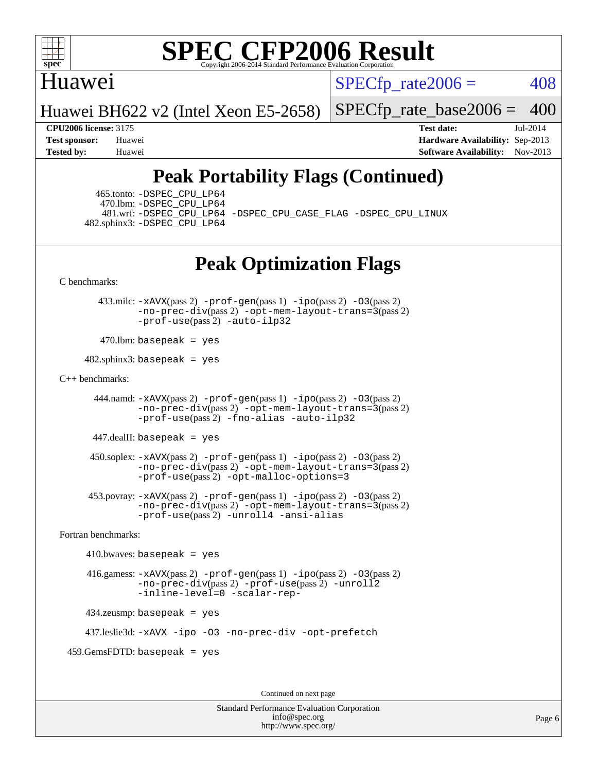

### Huawei

 $SPECTp\_rate2006 = 408$ 

Huawei BH622 v2 (Intel Xeon E5-2658)

[SPECfp\\_rate\\_base2006 =](http://www.spec.org/auto/cpu2006/Docs/result-fields.html#SPECfpratebase2006) 400

**[CPU2006 license:](http://www.spec.org/auto/cpu2006/Docs/result-fields.html#CPU2006license)** 3175 **[Test date:](http://www.spec.org/auto/cpu2006/Docs/result-fields.html#Testdate)** Jul-2014 **[Test sponsor:](http://www.spec.org/auto/cpu2006/Docs/result-fields.html#Testsponsor)** Huawei **[Hardware Availability:](http://www.spec.org/auto/cpu2006/Docs/result-fields.html#HardwareAvailability)** Sep-2013 **[Tested by:](http://www.spec.org/auto/cpu2006/Docs/result-fields.html#Testedby)** Huawei **[Software Availability:](http://www.spec.org/auto/cpu2006/Docs/result-fields.html#SoftwareAvailability)** Nov-2013

## **[Peak Portability Flags \(Continued\)](http://www.spec.org/auto/cpu2006/Docs/result-fields.html#PeakPortabilityFlags)**

 465.tonto: [-DSPEC\\_CPU\\_LP64](http://www.spec.org/cpu2006/results/res2014q3/cpu2006-20140714-30393.flags.html#suite_peakPORTABILITY465_tonto_DSPEC_CPU_LP64) 470.lbm: [-DSPEC\\_CPU\\_LP64](http://www.spec.org/cpu2006/results/res2014q3/cpu2006-20140714-30393.flags.html#suite_peakPORTABILITY470_lbm_DSPEC_CPU_LP64) 482.sphinx3: [-DSPEC\\_CPU\\_LP64](http://www.spec.org/cpu2006/results/res2014q3/cpu2006-20140714-30393.flags.html#suite_peakPORTABILITY482_sphinx3_DSPEC_CPU_LP64)

481.wrf: [-DSPEC\\_CPU\\_LP64](http://www.spec.org/cpu2006/results/res2014q3/cpu2006-20140714-30393.flags.html#suite_peakPORTABILITY481_wrf_DSPEC_CPU_LP64) [-DSPEC\\_CPU\\_CASE\\_FLAG](http://www.spec.org/cpu2006/results/res2014q3/cpu2006-20140714-30393.flags.html#b481.wrf_peakCPORTABILITY_DSPEC_CPU_CASE_FLAG) [-DSPEC\\_CPU\\_LINUX](http://www.spec.org/cpu2006/results/res2014q3/cpu2006-20140714-30393.flags.html#b481.wrf_peakCPORTABILITY_DSPEC_CPU_LINUX)

## **[Peak Optimization Flags](http://www.spec.org/auto/cpu2006/Docs/result-fields.html#PeakOptimizationFlags)**

[C benchmarks](http://www.spec.org/auto/cpu2006/Docs/result-fields.html#Cbenchmarks):

 433.milc: [-xAVX](http://www.spec.org/cpu2006/results/res2014q3/cpu2006-20140714-30393.flags.html#user_peakPASS2_CFLAGSPASS2_LDFLAGS433_milc_f-xAVX)(pass 2) [-prof-gen](http://www.spec.org/cpu2006/results/res2014q3/cpu2006-20140714-30393.flags.html#user_peakPASS1_CFLAGSPASS1_LDFLAGS433_milc_prof_gen_e43856698f6ca7b7e442dfd80e94a8fc)(pass 1) [-ipo](http://www.spec.org/cpu2006/results/res2014q3/cpu2006-20140714-30393.flags.html#user_peakPASS2_CFLAGSPASS2_LDFLAGS433_milc_f-ipo)(pass 2) [-O3](http://www.spec.org/cpu2006/results/res2014q3/cpu2006-20140714-30393.flags.html#user_peakPASS2_CFLAGSPASS2_LDFLAGS433_milc_f-O3)(pass 2) [-no-prec-div](http://www.spec.org/cpu2006/results/res2014q3/cpu2006-20140714-30393.flags.html#user_peakPASS2_CFLAGSPASS2_LDFLAGS433_milc_f-no-prec-div)(pass 2) [-opt-mem-layout-trans=3](http://www.spec.org/cpu2006/results/res2014q3/cpu2006-20140714-30393.flags.html#user_peakPASS2_CFLAGS433_milc_f-opt-mem-layout-trans_a7b82ad4bd7abf52556d4961a2ae94d5)(pass 2) [-prof-use](http://www.spec.org/cpu2006/results/res2014q3/cpu2006-20140714-30393.flags.html#user_peakPASS2_CFLAGSPASS2_LDFLAGS433_milc_prof_use_bccf7792157ff70d64e32fe3e1250b55)(pass 2) [-auto-ilp32](http://www.spec.org/cpu2006/results/res2014q3/cpu2006-20140714-30393.flags.html#user_peakCOPTIMIZE433_milc_f-auto-ilp32)

 $470$ .lbm: basepeak = yes

 $482$ .sphinx3: basepeak = yes

#### [C++ benchmarks:](http://www.spec.org/auto/cpu2006/Docs/result-fields.html#CXXbenchmarks)

 444.namd: [-xAVX](http://www.spec.org/cpu2006/results/res2014q3/cpu2006-20140714-30393.flags.html#user_peakPASS2_CXXFLAGSPASS2_LDFLAGS444_namd_f-xAVX)(pass 2) [-prof-gen](http://www.spec.org/cpu2006/results/res2014q3/cpu2006-20140714-30393.flags.html#user_peakPASS1_CXXFLAGSPASS1_LDFLAGS444_namd_prof_gen_e43856698f6ca7b7e442dfd80e94a8fc)(pass 1) [-ipo](http://www.spec.org/cpu2006/results/res2014q3/cpu2006-20140714-30393.flags.html#user_peakPASS2_CXXFLAGSPASS2_LDFLAGS444_namd_f-ipo)(pass 2) [-O3](http://www.spec.org/cpu2006/results/res2014q3/cpu2006-20140714-30393.flags.html#user_peakPASS2_CXXFLAGSPASS2_LDFLAGS444_namd_f-O3)(pass 2) [-no-prec-div](http://www.spec.org/cpu2006/results/res2014q3/cpu2006-20140714-30393.flags.html#user_peakPASS2_CXXFLAGSPASS2_LDFLAGS444_namd_f-no-prec-div)(pass 2) [-opt-mem-layout-trans=3](http://www.spec.org/cpu2006/results/res2014q3/cpu2006-20140714-30393.flags.html#user_peakPASS2_CXXFLAGS444_namd_f-opt-mem-layout-trans_a7b82ad4bd7abf52556d4961a2ae94d5)(pass 2) [-prof-use](http://www.spec.org/cpu2006/results/res2014q3/cpu2006-20140714-30393.flags.html#user_peakPASS2_CXXFLAGSPASS2_LDFLAGS444_namd_prof_use_bccf7792157ff70d64e32fe3e1250b55)(pass 2) [-fno-alias](http://www.spec.org/cpu2006/results/res2014q3/cpu2006-20140714-30393.flags.html#user_peakCXXOPTIMIZE444_namd_f-no-alias_694e77f6c5a51e658e82ccff53a9e63a) [-auto-ilp32](http://www.spec.org/cpu2006/results/res2014q3/cpu2006-20140714-30393.flags.html#user_peakCXXOPTIMIZE444_namd_f-auto-ilp32)

447.dealII: basepeak = yes

 $450$ .soplex:  $-x$ AVX(pass 2)  $-p$ rof-gen(pass 1)  $-i$ po(pass 2)  $-03$ (pass 2) [-no-prec-div](http://www.spec.org/cpu2006/results/res2014q3/cpu2006-20140714-30393.flags.html#user_peakPASS2_CXXFLAGSPASS2_LDFLAGS450_soplex_f-no-prec-div)(pass 2) [-opt-mem-layout-trans=3](http://www.spec.org/cpu2006/results/res2014q3/cpu2006-20140714-30393.flags.html#user_peakPASS2_CXXFLAGS450_soplex_f-opt-mem-layout-trans_a7b82ad4bd7abf52556d4961a2ae94d5)(pass 2) [-prof-use](http://www.spec.org/cpu2006/results/res2014q3/cpu2006-20140714-30393.flags.html#user_peakPASS2_CXXFLAGSPASS2_LDFLAGS450_soplex_prof_use_bccf7792157ff70d64e32fe3e1250b55)(pass 2) [-opt-malloc-options=3](http://www.spec.org/cpu2006/results/res2014q3/cpu2006-20140714-30393.flags.html#user_peakOPTIMIZE450_soplex_f-opt-malloc-options_13ab9b803cf986b4ee62f0a5998c2238)

 453.povray: [-xAVX](http://www.spec.org/cpu2006/results/res2014q3/cpu2006-20140714-30393.flags.html#user_peakPASS2_CXXFLAGSPASS2_LDFLAGS453_povray_f-xAVX)(pass 2) [-prof-gen](http://www.spec.org/cpu2006/results/res2014q3/cpu2006-20140714-30393.flags.html#user_peakPASS1_CXXFLAGSPASS1_LDFLAGS453_povray_prof_gen_e43856698f6ca7b7e442dfd80e94a8fc)(pass 1) [-ipo](http://www.spec.org/cpu2006/results/res2014q3/cpu2006-20140714-30393.flags.html#user_peakPASS2_CXXFLAGSPASS2_LDFLAGS453_povray_f-ipo)(pass 2) [-O3](http://www.spec.org/cpu2006/results/res2014q3/cpu2006-20140714-30393.flags.html#user_peakPASS2_CXXFLAGSPASS2_LDFLAGS453_povray_f-O3)(pass 2) [-no-prec-div](http://www.spec.org/cpu2006/results/res2014q3/cpu2006-20140714-30393.flags.html#user_peakPASS2_CXXFLAGSPASS2_LDFLAGS453_povray_f-no-prec-div)(pass 2) [-opt-mem-layout-trans=3](http://www.spec.org/cpu2006/results/res2014q3/cpu2006-20140714-30393.flags.html#user_peakPASS2_CXXFLAGS453_povray_f-opt-mem-layout-trans_a7b82ad4bd7abf52556d4961a2ae94d5)(pass 2) [-prof-use](http://www.spec.org/cpu2006/results/res2014q3/cpu2006-20140714-30393.flags.html#user_peakPASS2_CXXFLAGSPASS2_LDFLAGS453_povray_prof_use_bccf7792157ff70d64e32fe3e1250b55)(pass 2) [-unroll4](http://www.spec.org/cpu2006/results/res2014q3/cpu2006-20140714-30393.flags.html#user_peakCXXOPTIMIZE453_povray_f-unroll_4e5e4ed65b7fd20bdcd365bec371b81f) [-ansi-alias](http://www.spec.org/cpu2006/results/res2014q3/cpu2006-20140714-30393.flags.html#user_peakCXXOPTIMIZE453_povray_f-ansi-alias)

[Fortran benchmarks](http://www.spec.org/auto/cpu2006/Docs/result-fields.html#Fortranbenchmarks):

 $410.bwaves: basepeak = yes$  416.gamess: [-xAVX](http://www.spec.org/cpu2006/results/res2014q3/cpu2006-20140714-30393.flags.html#user_peakPASS2_FFLAGSPASS2_LDFLAGS416_gamess_f-xAVX)(pass 2) [-prof-gen](http://www.spec.org/cpu2006/results/res2014q3/cpu2006-20140714-30393.flags.html#user_peakPASS1_FFLAGSPASS1_LDFLAGS416_gamess_prof_gen_e43856698f6ca7b7e442dfd80e94a8fc)(pass 1) [-ipo](http://www.spec.org/cpu2006/results/res2014q3/cpu2006-20140714-30393.flags.html#user_peakPASS2_FFLAGSPASS2_LDFLAGS416_gamess_f-ipo)(pass 2) [-O3](http://www.spec.org/cpu2006/results/res2014q3/cpu2006-20140714-30393.flags.html#user_peakPASS2_FFLAGSPASS2_LDFLAGS416_gamess_f-O3)(pass 2) [-no-prec-div](http://www.spec.org/cpu2006/results/res2014q3/cpu2006-20140714-30393.flags.html#user_peakPASS2_FFLAGSPASS2_LDFLAGS416_gamess_f-no-prec-div)(pass 2) [-prof-use](http://www.spec.org/cpu2006/results/res2014q3/cpu2006-20140714-30393.flags.html#user_peakPASS2_FFLAGSPASS2_LDFLAGS416_gamess_prof_use_bccf7792157ff70d64e32fe3e1250b55)(pass 2) [-unroll2](http://www.spec.org/cpu2006/results/res2014q3/cpu2006-20140714-30393.flags.html#user_peakOPTIMIZE416_gamess_f-unroll_784dae83bebfb236979b41d2422d7ec2) [-inline-level=0](http://www.spec.org/cpu2006/results/res2014q3/cpu2006-20140714-30393.flags.html#user_peakOPTIMIZE416_gamess_f-inline-level_318d07a09274ad25e8d15dbfaa68ba50) [-scalar-rep-](http://www.spec.org/cpu2006/results/res2014q3/cpu2006-20140714-30393.flags.html#user_peakOPTIMIZE416_gamess_f-disablescalarrep_abbcad04450fb118e4809c81d83c8a1d) 434.zeusmp: basepeak = yes

437.leslie3d: [-xAVX](http://www.spec.org/cpu2006/results/res2014q3/cpu2006-20140714-30393.flags.html#user_peakOPTIMIZE437_leslie3d_f-xAVX) [-ipo](http://www.spec.org/cpu2006/results/res2014q3/cpu2006-20140714-30393.flags.html#user_peakOPTIMIZE437_leslie3d_f-ipo) [-O3](http://www.spec.org/cpu2006/results/res2014q3/cpu2006-20140714-30393.flags.html#user_peakOPTIMIZE437_leslie3d_f-O3) [-no-prec-div](http://www.spec.org/cpu2006/results/res2014q3/cpu2006-20140714-30393.flags.html#user_peakOPTIMIZE437_leslie3d_f-no-prec-div) [-opt-prefetch](http://www.spec.org/cpu2006/results/res2014q3/cpu2006-20140714-30393.flags.html#user_peakOPTIMIZE437_leslie3d_f-opt-prefetch)

459.GemsFDTD: basepeak = yes

Continued on next page

Standard Performance Evaluation Corporation [info@spec.org](mailto:info@spec.org) <http://www.spec.org/>